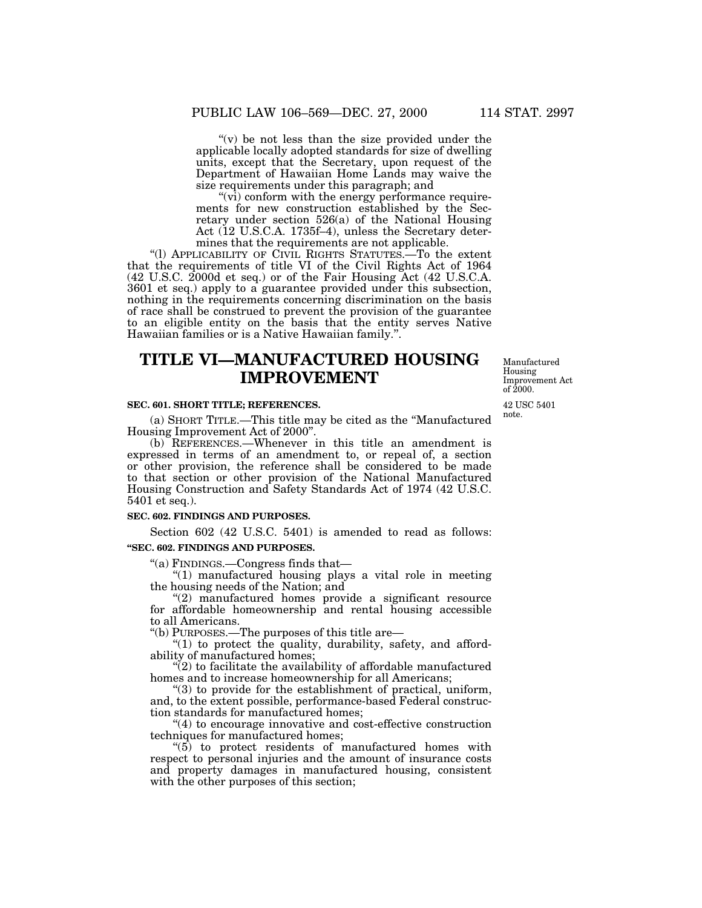" $(v)$  be not less than the size provided under the applicable locally adopted standards for size of dwelling units, except that the Secretary, upon request of the Department of Hawaiian Home Lands may waive the size requirements under this paragraph; and

 $\sqrt[4]{v_1}$  conform with the energy performance requirements for new construction established by the Secretary under section 526(a) of the National Housing Act (12 U.S.C.A. 1735f–4), unless the Secretary determines that the requirements are not applicable.

''(l) APPLICABILITY OF CIVIL RIGHTS STATUTES.—To the extent that the requirements of title VI of the Civil Rights Act of 1964 (42 U.S.C. 2000d et seq.) or of the Fair Housing Act (42 U.S.C.A. 3601 et seq.) apply to a guarantee provided under this subsection, nothing in the requirements concerning discrimination on the basis of race shall be construed to prevent the provision of the guarantee to an eligible entity on the basis that the entity serves Native Hawaiian families or is a Native Hawaiian family.''.

# **TITLE VI—MANUFACTURED HOUSING IMPROVEMENT**

#### **SEC. 601. SHORT TITLE; REFERENCES.**

(a) SHORT TITLE.—This title may be cited as the ''Manufactured Housing Improvement Act of 2000''.

(b) REFERENCES.—Whenever in this title an amendment is expressed in terms of an amendment to, or repeal of, a section or other provision, the reference shall be considered to be made to that section or other provision of the National Manufactured Housing Construction and Safety Standards Act of 1974 (42 U.S.C. 5401 et seq.).

### **SEC. 602. FINDINGS AND PURPOSES.**

Section 602 (42 U.S.C. 5401) is amended to read as follows: **''SEC. 602. FINDINGS AND PURPOSES.**

''(a) FINDINGS.—Congress finds that—

''(1) manufactured housing plays a vital role in meeting the housing needs of the Nation; and

"(2) manufactured homes provide a significant resource for affordable homeownership and rental housing accessible to all Americans.

''(b) PURPOSES.—The purposes of this title are—

" $(1)$  to protect the quality, durability, safety, and affordability of manufactured homes;

 $\mathcal{L}(2)$  to facilitate the availability of affordable manufactured homes and to increase homeownership for all Americans;

"(3) to provide for the establishment of practical, uniform, and, to the extent possible, performance-based Federal construction standards for manufactured homes;

''(4) to encourage innovative and cost-effective construction techniques for manufactured homes;

''(5) to protect residents of manufactured homes with respect to personal injuries and the amount of insurance costs and property damages in manufactured housing, consistent with the other purposes of this section;

42 USC 5401 note. of 2000.

Manufactured Housing Improvement Act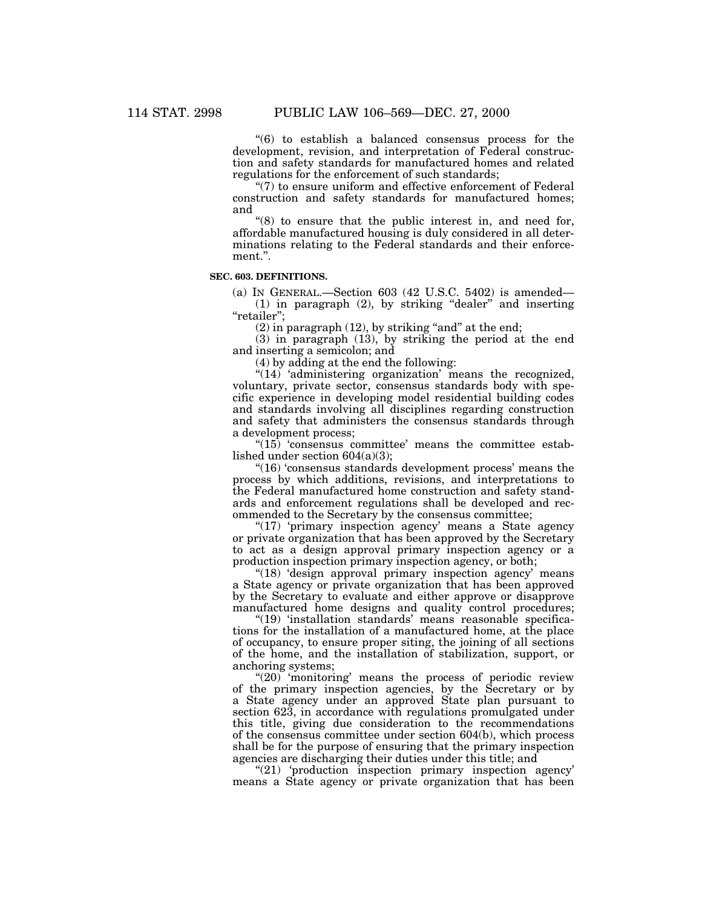''(6) to establish a balanced consensus process for the development, revision, and interpretation of Federal construction and safety standards for manufactured homes and related regulations for the enforcement of such standards;

"(7) to ensure uniform and effective enforcement of Federal construction and safety standards for manufactured homes; and

 $\degree$ (8) to ensure that the public interest in, and need for, affordable manufactured housing is duly considered in all determinations relating to the Federal standards and their enforcement.''.

# **SEC. 603. DEFINITIONS.**

(a) IN GENERAL.—Section 603 (42 U.S.C. 5402) is amended—  $(1)$  in paragraph  $(2)$ , by striking "dealer" and inserting "retailer";

 $(2)$  in paragraph  $(12)$ , by striking "and" at the end;

(3) in paragraph (13), by striking the period at the end and inserting a semicolon; and

(4) by adding at the end the following:

 $\sqrt[4]{(14)}$  'administering organization' means the recognized, voluntary, private sector, consensus standards body with specific experience in developing model residential building codes and standards involving all disciplines regarding construction and safety that administers the consensus standards through a development process;

 $"(15)$  'consensus committee' means the committee established under section 604(a)(3);

''(16) 'consensus standards development process' means the process by which additions, revisions, and interpretations to the Federal manufactured home construction and safety standards and enforcement regulations shall be developed and recommended to the Secretary by the consensus committee;

"(17) 'primary inspection agency' means a State agency or private organization that has been approved by the Secretary to act as a design approval primary inspection agency or a production inspection primary inspection agency, or both;

"(18) 'design approval primary inspection agency' means a State agency or private organization that has been approved by the Secretary to evaluate and either approve or disapprove manufactured home designs and quality control procedures;

''(19) 'installation standards' means reasonable specifications for the installation of a manufactured home, at the place of occupancy, to ensure proper siting, the joining of all sections of the home, and the installation of stabilization, support, or anchoring systems;

"(20) 'monitoring' means the process of periodic review of the primary inspection agencies, by the Secretary or by a State agency under an approved State plan pursuant to section 623, in accordance with regulations promulgated under this title, giving due consideration to the recommendations of the consensus committee under section 604(b), which process shall be for the purpose of ensuring that the primary inspection agencies are discharging their duties under this title; and

"(21) 'production inspection primary inspection agency' means a State agency or private organization that has been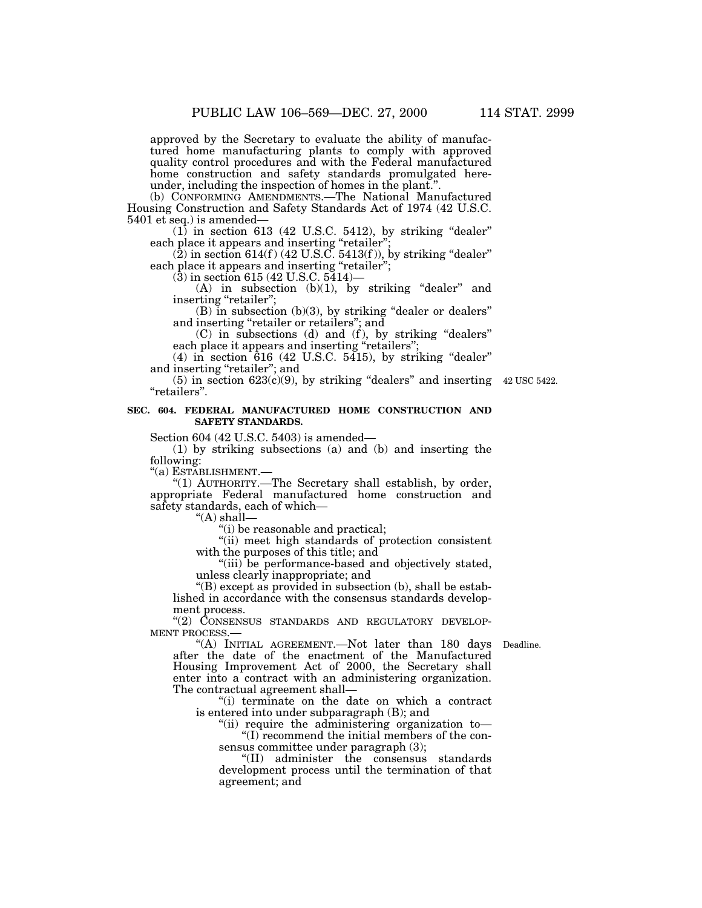approved by the Secretary to evaluate the ability of manufactured home manufacturing plants to comply with approved quality control procedures and with the Federal manufactured home construction and safety standards promulgated hereunder, including the inspection of homes in the plant.''.

(b) CONFORMING AMENDMENTS.—The National Manufactured Housing Construction and Safety Standards Act of 1974 (42 U.S.C. 5401 et seq.) is amended—

 $(1)$  in section 613 (42 U.S.C. 5412), by striking "dealer" each place it appears and inserting "retailer";

 $(2)$  in section 614(f) (42 U.S.C. 5413(f)), by striking "dealer" each place it appears and inserting "retailer";

(3) in section 615 (42 U.S.C. 5414)—

 $(A)$  in subsection  $(b)(1)$ , by striking "dealer" and inserting "retailer";

(B) in subsection (b)(3), by striking ''dealer or dealers'' and inserting ''retailer or retailers''; and

 $(C)$  in subsections (d) and (f), by striking "dealers" each place it appears and inserting "retailers";

(4) in section 616 (42 U.S.C. 5415), by striking ''dealer'' and inserting ''retailer''; and

 $(5)$  in section  $623(c)(9)$ , by striking "dealers" and inserting 42 USC 5422. ''retailers''.

# **SEC. 604. FEDERAL MANUFACTURED HOME CONSTRUCTION AND SAFETY STANDARDS.**

Section 604 (42 U.S.C. 5403) is amended—

(1) by striking subsections (a) and (b) and inserting the following:

''(a) ESTABLISHMENT.—

''(1) AUTHORITY.—The Secretary shall establish, by order, appropriate Federal manufactured home construction and safety standards, each of which—

''(A) shall—

''(i) be reasonable and practical;

"(ii) meet high standards of protection consistent with the purposes of this title; and

"(iii) be performance-based and objectively stated, unless clearly inappropriate; and

''(B) except as provided in subsection (b), shall be established in accordance with the consensus standards development process.

"(2) CONSENSUS STANDARDS AND REGULATORY DEVELOP-MENT PROCESS.—

"(A) INITIAL AGREEMENT.—Not later than 180 days Deadline. after the date of the enactment of the Manufactured Housing Improvement Act of 2000, the Secretary shall enter into a contract with an administering organization. The contractual agreement shall—

''(i) terminate on the date on which a contract is entered into under subparagraph (B); and

''(ii) require the administering organization to— ''(I) recommend the initial members of the consensus committee under paragraph (3);

''(II) administer the consensus standards development process until the termination of that agreement; and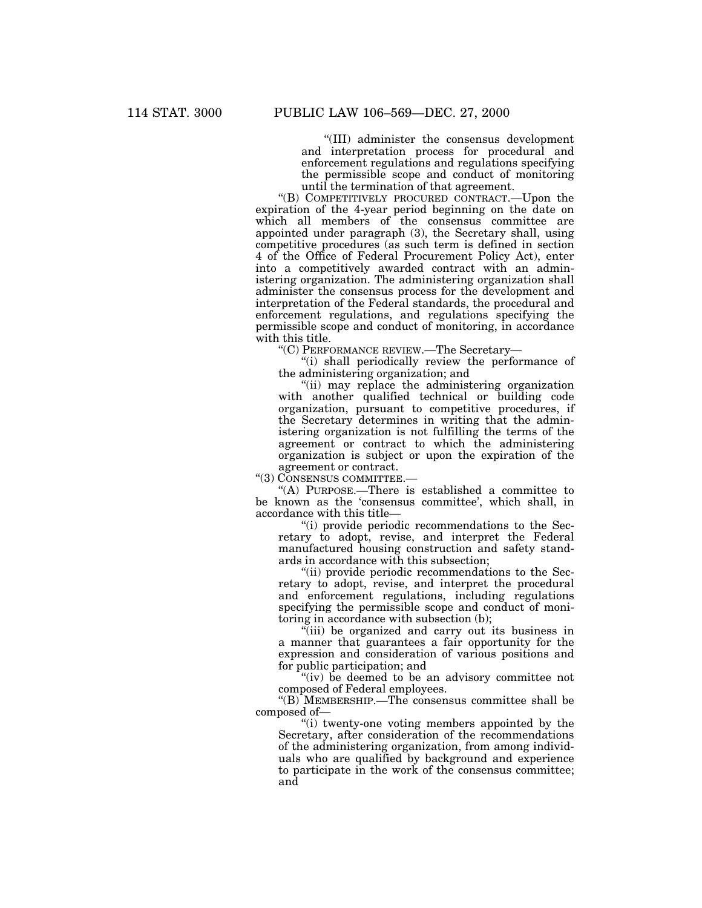''(III) administer the consensus development and interpretation process for procedural and enforcement regulations and regulations specifying the permissible scope and conduct of monitoring until the termination of that agreement.

''(B) COMPETITIVELY PROCURED CONTRACT.—Upon the expiration of the 4-year period beginning on the date on which all members of the consensus committee are appointed under paragraph (3), the Secretary shall, using competitive procedures (as such term is defined in section 4 of the Office of Federal Procurement Policy Act), enter into a competitively awarded contract with an administering organization. The administering organization shall administer the consensus process for the development and interpretation of the Federal standards, the procedural and enforcement regulations, and regulations specifying the permissible scope and conduct of monitoring, in accordance with this title.

''(C) PERFORMANCE REVIEW.—The Secretary—

''(i) shall periodically review the performance of the administering organization; and

''(ii) may replace the administering organization with another qualified technical or building code organization, pursuant to competitive procedures, if the Secretary determines in writing that the administering organization is not fulfilling the terms of the agreement or contract to which the administering organization is subject or upon the expiration of the agreement or contract.

''(3) CONSENSUS COMMITTEE.—

''(A) PURPOSE.—There is established a committee to be known as the 'consensus committee', which shall, in accordance with this title—

''(i) provide periodic recommendations to the Secretary to adopt, revise, and interpret the Federal manufactured housing construction and safety standards in accordance with this subsection;

''(ii) provide periodic recommendations to the Secretary to adopt, revise, and interpret the procedural and enforcement regulations, including regulations specifying the permissible scope and conduct of monitoring in accordance with subsection (b);

''(iii) be organized and carry out its business in a manner that guarantees a fair opportunity for the expression and consideration of various positions and for public participation; and

"(iv) be deemed to be an advisory committee not composed of Federal employees.

''(B) MEMBERSHIP.—The consensus committee shall be composed of—

''(i) twenty-one voting members appointed by the Secretary, after consideration of the recommendations of the administering organization, from among individuals who are qualified by background and experience to participate in the work of the consensus committee; and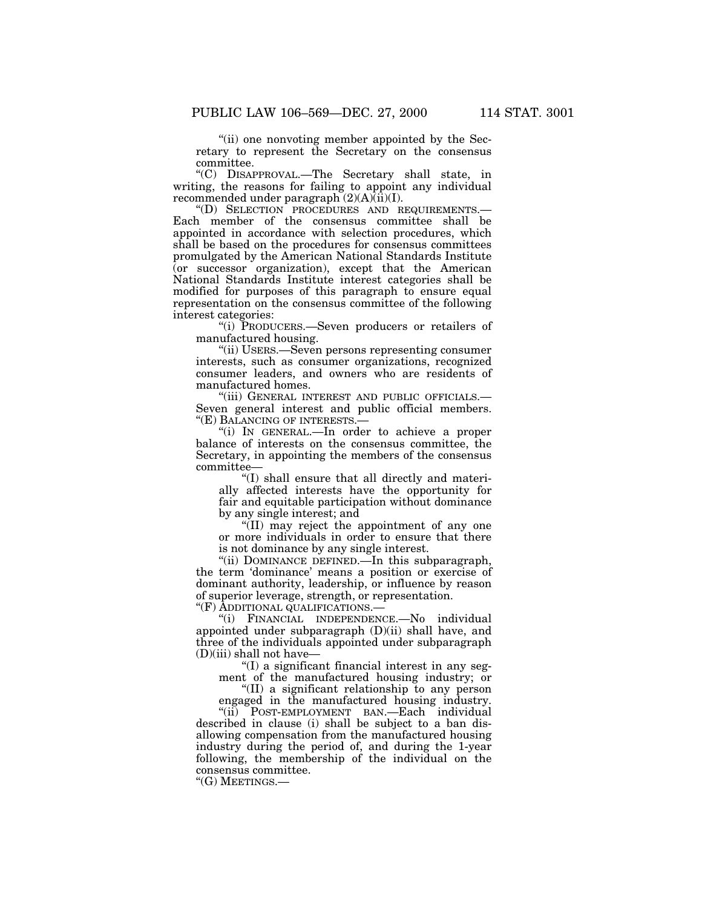''(ii) one nonvoting member appointed by the Secretary to represent the Secretary on the consensus committee.

''(C) DISAPPROVAL.—The Secretary shall state, in writing, the reasons for failing to appoint any individual recommended under paragraph  $(2)(A)(ii)(I)$ .

''(D) SELECTION PROCEDURES AND REQUIREMENTS.— Each member of the consensus committee shall be appointed in accordance with selection procedures, which shall be based on the procedures for consensus committees promulgated by the American National Standards Institute (or successor organization), except that the American National Standards Institute interest categories shall be modified for purposes of this paragraph to ensure equal representation on the consensus committee of the following interest categories:

''(i) PRODUCERS.—Seven producers or retailers of manufactured housing.

''(ii) USERS.—Seven persons representing consumer interests, such as consumer organizations, recognized consumer leaders, and owners who are residents of manufactured homes.

''(iii) GENERAL INTEREST AND PUBLIC OFFICIALS.— Seven general interest and public official members. ''(E) BALANCING OF INTERESTS.—

''(i) IN GENERAL.—In order to achieve a proper balance of interests on the consensus committee, the Secretary, in appointing the members of the consensus committee—

 $(1)$  shall ensure that all directly and materially affected interests have the opportunity for fair and equitable participation without dominance by any single interest; and

''(II) may reject the appointment of any one or more individuals in order to ensure that there is not dominance by any single interest.

''(ii) DOMINANCE DEFINED.—In this subparagraph, the term 'dominance' means a position or exercise of dominant authority, leadership, or influence by reason of superior leverage, strength, or representation.

''(F) ADDITIONAL QUALIFICATIONS.—

''(i) FINANCIAL INDEPENDENCE.—No individual appointed under subparagraph (D)(ii) shall have, and three of the individuals appointed under subparagraph  $(D)(iii)$  shall not have—

''(I) a significant financial interest in any segment of the manufactured housing industry; or

''(II) a significant relationship to any person

engaged in the manufactured housing industry. "(ii) POST-EMPLOYMENT BAN.—Each individual described in clause (i) shall be subject to a ban disallowing compensation from the manufactured housing industry during the period of, and during the 1-year following, the membership of the individual on the consensus committee.

''(G) MEETINGS.—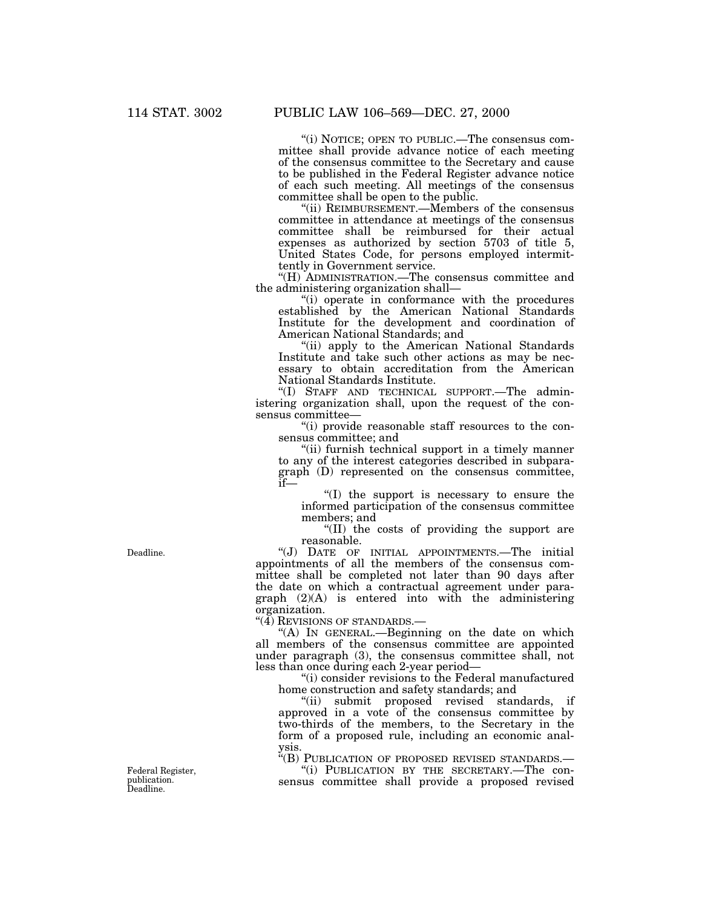''(i) NOTICE; OPEN TO PUBLIC.—The consensus committee shall provide advance notice of each meeting of the consensus committee to the Secretary and cause to be published in the Federal Register advance notice of each such meeting. All meetings of the consensus committee shall be open to the public.

''(ii) REIMBURSEMENT.—Members of the consensus committee in attendance at meetings of the consensus committee shall be reimbursed for their actual expenses as authorized by section 5703 of title 5, United States Code, for persons employed intermittently in Government service.

''(H) ADMINISTRATION.—The consensus committee and the administering organization shall—

"(i) operate in conformance with the procedures established by the American National Standards Institute for the development and coordination of American National Standards; and

"(ii) apply to the American National Standards Institute and take such other actions as may be necessary to obtain accreditation from the American National Standards Institute.

''(I) STAFF AND TECHNICAL SUPPORT.—The administering organization shall, upon the request of the consensus committee—

''(i) provide reasonable staff resources to the consensus committee; and

''(ii) furnish technical support in a timely manner to any of the interest categories described in subparagraph (D) represented on the consensus committee, if—

''(I) the support is necessary to ensure the informed participation of the consensus committee members; and

''(II) the costs of providing the support are reasonable.

''(J) DATE OF INITIAL APPOINTMENTS.—The initial appointments of all the members of the consensus committee shall be completed not later than 90 days after the date on which a contractual agreement under paragraph (2)(A) is entered into with the administering organization.

''(4) REVISIONS OF STANDARDS.—

''(A) IN GENERAL.—Beginning on the date on which all members of the consensus committee are appointed under paragraph (3), the consensus committee shall, not less than once during each 2-year period—

''(i) consider revisions to the Federal manufactured home construction and safety standards; and

''(ii) submit proposed revised standards, if approved in a vote of the consensus committee by two-thirds of the members, to the Secretary in the form of a proposed rule, including an economic analysis.

 $i<sup>k</sup>(B)$  PUBLICATION OF PROPOSED REVISED STANDARDS.—  $i<sup>0</sup>(i)$  PUBLICATION BY THE SECRETARY.—The con-

sensus committee shall provide a proposed revised

Deadline.

Federal Register, publication. Deadline.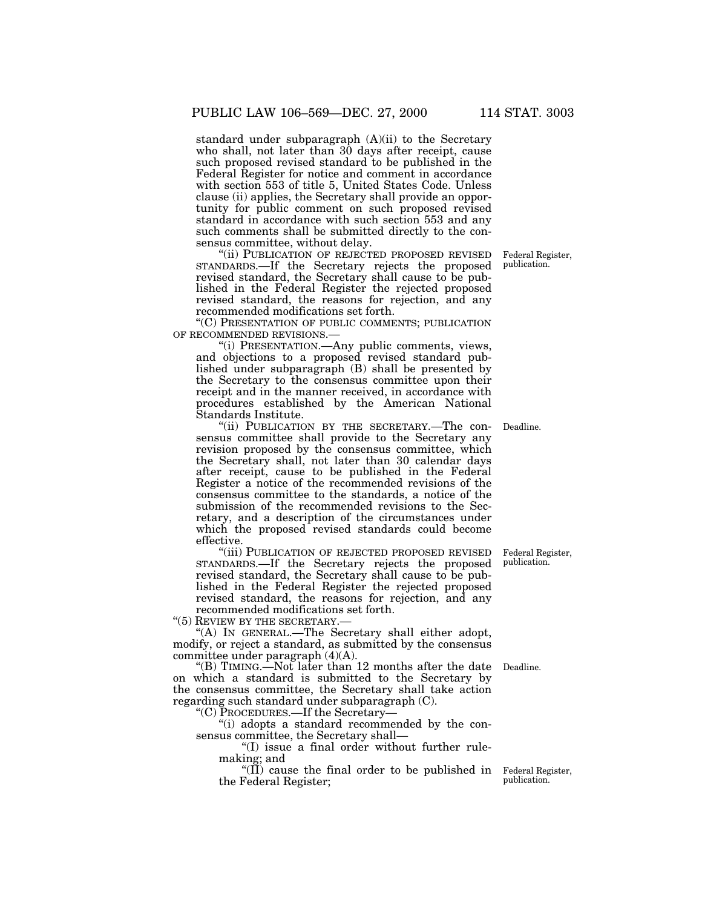standard under subparagraph (A)(ii) to the Secretary who shall, not later than 30 days after receipt, cause such proposed revised standard to be published in the Federal Register for notice and comment in accordance with section 553 of title 5, United States Code. Unless clause (ii) applies, the Secretary shall provide an opportunity for public comment on such proposed revised standard in accordance with such section 553 and any such comments shall be submitted directly to the consensus committee, without delay.

''(ii) PUBLICATION OF REJECTED PROPOSED REVISED STANDARDS.—If the Secretary rejects the proposed revised standard, the Secretary shall cause to be published in the Federal Register the rejected proposed revised standard, the reasons for rejection, and any recommended modifications set forth.

''(C) PRESENTATION OF PUBLIC COMMENTS; PUBLICATION OF RECOMMENDED REVISIONS.—

''(i) PRESENTATION.—Any public comments, views, and objections to a proposed revised standard published under subparagraph (B) shall be presented by the Secretary to the consensus committee upon their receipt and in the manner received, in accordance with procedures established by the American National Standards Institute.

''(ii) PUBLICATION BY THE SECRETARY.—The consensus committee shall provide to the Secretary any revision proposed by the consensus committee, which the Secretary shall, not later than 30 calendar days after receipt, cause to be published in the Federal Register a notice of the recommended revisions of the consensus committee to the standards, a notice of the submission of the recommended revisions to the Secretary, and a description of the circumstances under which the proposed revised standards could become effective.

''(iii) PUBLICATION OF REJECTED PROPOSED REVISED STANDARDS.—If the Secretary rejects the proposed revised standard, the Secretary shall cause to be published in the Federal Register the rejected proposed revised standard, the reasons for rejection, and any recommended modifications set forth.

"(5) REVIEW BY THE SECRETARY.-

''(A) IN GENERAL.—The Secretary shall either adopt, modify, or reject a standard, as submitted by the consensus committee under paragraph (4)(A).

''(B) TIMING.—Not later than 12 months after the date Deadline. on which a standard is submitted to the Secretary by the consensus committee, the Secretary shall take action regarding such standard under subparagraph (C).

''(C) PROCEDURES.—If the Secretary—

''(i) adopts a standard recommended by the consensus committee, the Secretary shall—

''(I) issue a final order without further rulemaking; and

"(II) cause the final order to be published in Federal Register, the Federal Register;

publication.

Federal Register, publication.

Deadline.

Federal Register, publication.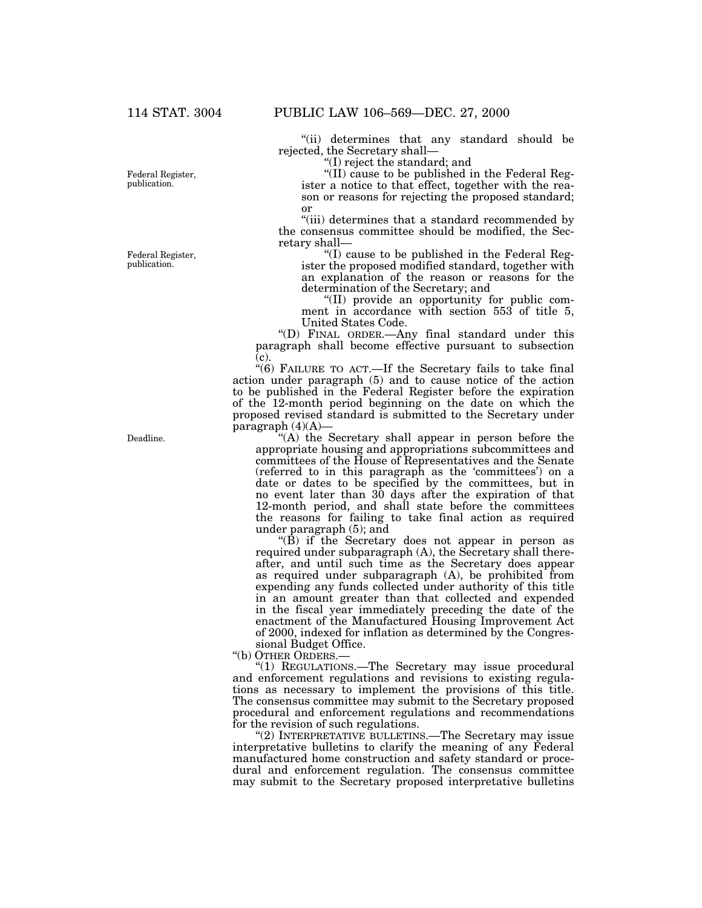''(ii) determines that any standard should be rejected, the Secretary shall—

''(I) reject the standard; and

''(II) cause to be published in the Federal Register a notice to that effect, together with the reason or reasons for rejecting the proposed standard; or

''(iii) determines that a standard recommended by the consensus committee should be modified, the Secretary shall—

''(I) cause to be published in the Federal Register the proposed modified standard, together with an explanation of the reason or reasons for the determination of the Secretary; and

''(II) provide an opportunity for public comment in accordance with section 553 of title 5, United States Code.

''(D) FINAL ORDER.—Any final standard under this paragraph shall become effective pursuant to subsection (c).

''(6) FAILURE TO ACT.—If the Secretary fails to take final action under paragraph (5) and to cause notice of the action to be published in the Federal Register before the expiration of the 12-month period beginning on the date on which the proposed revised standard is submitted to the Secretary under paragraph  $(4)(A)$ 

"(A) the Secretary shall appear in person before the appropriate housing and appropriations subcommittees and committees of the House of Representatives and the Senate (referred to in this paragraph as the 'committees') on a date or dates to be specified by the committees, but in no event later than 30 days after the expiration of that 12-month period, and shall state before the committees the reasons for failing to take final action as required under paragraph (5); and

 $\mathrm{H}(\overline{\mathbf{B}})$  if the Secretary does not appear in person as required under subparagraph (A), the Secretary shall thereafter, and until such time as the Secretary does appear as required under subparagraph  $(A)$ , be prohibited from expending any funds collected under authority of this title in an amount greater than that collected and expended in the fiscal year immediately preceding the date of the enactment of the Manufactured Housing Improvement Act of 2000, indexed for inflation as determined by the Congressional Budget Office.

''(b) OTHER ORDERS.—

''(1) REGULATIONS.—The Secretary may issue procedural and enforcement regulations and revisions to existing regulations as necessary to implement the provisions of this title. The consensus committee may submit to the Secretary proposed procedural and enforcement regulations and recommendations for the revision of such regulations.

"(2) INTERPRETATIVE BULLETINS.—The Secretary may issue interpretative bulletins to clarify the meaning of any Federal manufactured home construction and safety standard or procedural and enforcement regulation. The consensus committee may submit to the Secretary proposed interpretative bulletins

Federal Register, publication.

Federal Register, publication.

Deadline.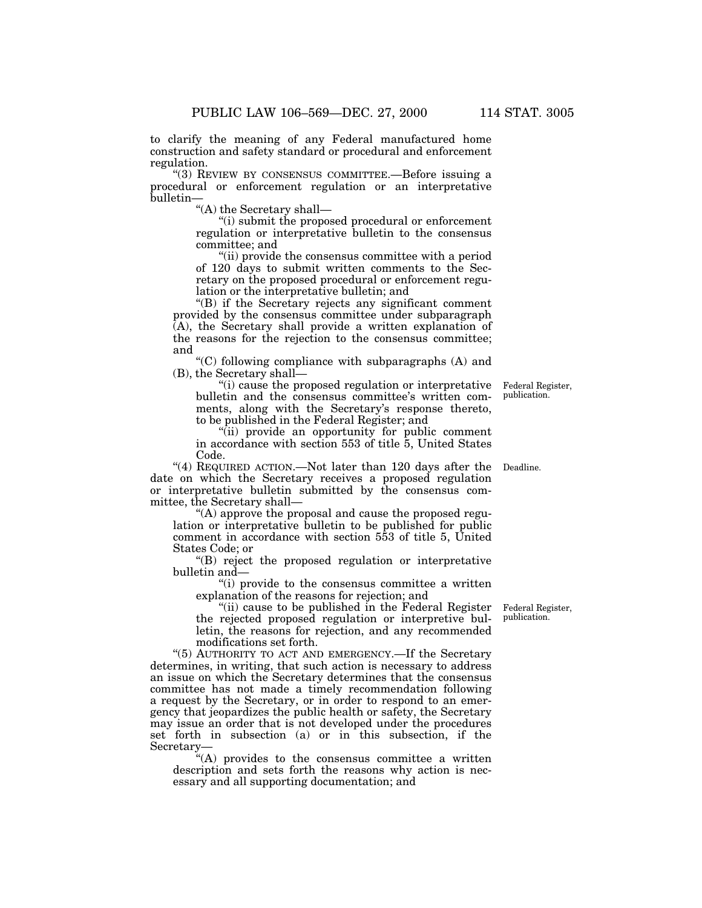to clarify the meaning of any Federal manufactured home construction and safety standard or procedural and enforcement regulation.

''(3) REVIEW BY CONSENSUS COMMITTEE.—Before issuing a procedural or enforcement regulation or an interpretative bulletin—

''(A) the Secretary shall—

''(i) submit the proposed procedural or enforcement regulation or interpretative bulletin to the consensus committee; and

''(ii) provide the consensus committee with a period of 120 days to submit written comments to the Secretary on the proposed procedural or enforcement regulation or the interpretative bulletin; and

''(B) if the Secretary rejects any significant comment provided by the consensus committee under subparagraph (A), the Secretary shall provide a written explanation of the reasons for the rejection to the consensus committee; and

 $(C)$  following compliance with subparagraphs  $(A)$  and (B), the Secretary shall—

''(i) cause the proposed regulation or interpretative bulletin and the consensus committee's written comments, along with the Secretary's response thereto, to be published in the Federal Register; and

''(ii) provide an opportunity for public comment in accordance with section 553 of title 5, United States Code.

"(4) REQUIRED ACTION.—Not later than 120 days after the Deadline. date on which the Secretary receives a proposed regulation or interpretative bulletin submitted by the consensus committee, the Secretary shall—

''(A) approve the proposal and cause the proposed regulation or interpretative bulletin to be published for public comment in accordance with section 553 of title 5, United States Code; or

''(B) reject the proposed regulation or interpretative bulletin and—

''(i) provide to the consensus committee a written explanation of the reasons for rejection; and

"(ii) cause to be published in the Federal Register Federal Register, the rejected proposed regulation or interpretive bulletin, the reasons for rejection, and any recommended modifications set forth.

''(5) AUTHORITY TO ACT AND EMERGENCY.—If the Secretary determines, in writing, that such action is necessary to address an issue on which the Secretary determines that the consensus committee has not made a timely recommendation following a request by the Secretary, or in order to respond to an emergency that jeopardizes the public health or safety, the Secretary may issue an order that is not developed under the procedures set forth in subsection (a) or in this subsection, if the Secretary—

''(A) provides to the consensus committee a written description and sets forth the reasons why action is necessary and all supporting documentation; and

publication.

Federal Register, publication.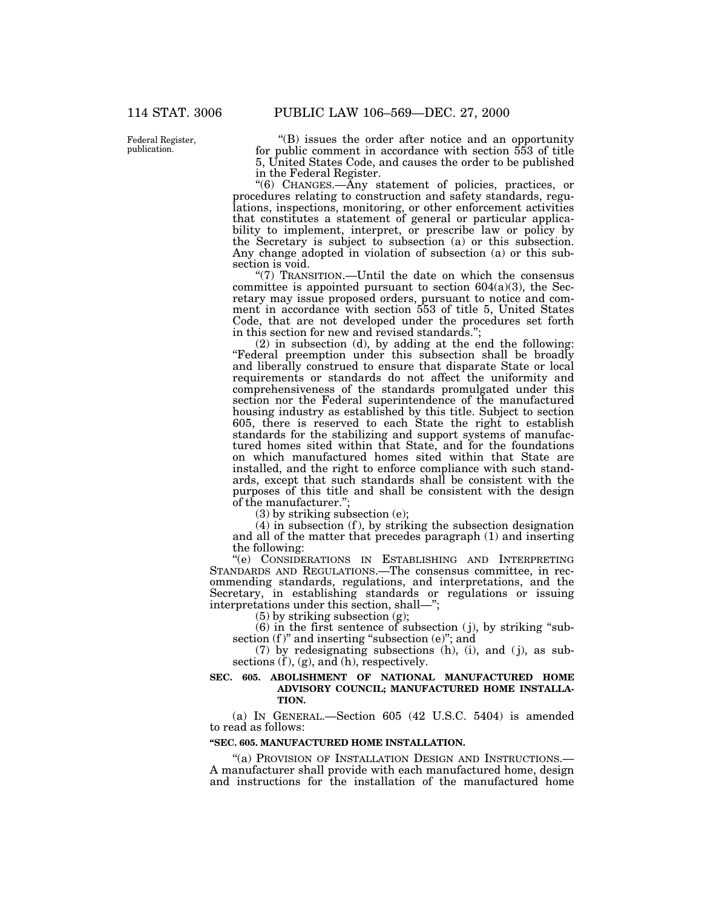Federal Register, publication.

''(B) issues the order after notice and an opportunity for public comment in accordance with section 553 of title 5, United States Code, and causes the order to be published in the Federal Register.

''(6) CHANGES.—Any statement of policies, practices, or procedures relating to construction and safety standards, regulations, inspections, monitoring, or other enforcement activities that constitutes a statement of general or particular applicability to implement, interpret, or prescribe law or policy by the Secretary is subject to subsection (a) or this subsection. Any change adopted in violation of subsection (a) or this subsection is void.

''(7) TRANSITION.—Until the date on which the consensus committee is appointed pursuant to section  $604(a)(3)$ , the Secretary may issue proposed orders, pursuant to notice and comment in accordance with section 553 of title 5, United States Code, that are not developed under the procedures set forth in this section for new and revised standards."

(2) in subsection (d), by adding at the end the following: ''Federal preemption under this subsection shall be broadly and liberally construed to ensure that disparate State or local requirements or standards do not affect the uniformity and comprehensiveness of the standards promulgated under this section nor the Federal superintendence of the manufactured housing industry as established by this title. Subject to section 605, there is reserved to each State the right to establish standards for the stabilizing and support systems of manufactured homes sited within that State, and for the foundations on which manufactured homes sited within that State are installed, and the right to enforce compliance with such standards, except that such standards shall be consistent with the purposes of this title and shall be consistent with the design of the manufacturer.'';

(3) by striking subsection (e);

 $(4)$  in subsection  $(f)$ , by striking the subsection designation and all of the matter that precedes paragraph (1) and inserting the following:

''(e) CONSIDERATIONS IN ESTABLISHING AND INTERPRETING STANDARDS AND REGULATIONS.—The consensus committee, in recommending standards, regulations, and interpretations, and the Secretary, in establishing standards or regulations or issuing interpretations under this section, shall—'';

(5) by striking subsection (g);

(6) in the first sentence of subsection ( j), by striking ''subsection  $(f)$ " and inserting "subsection  $(e)$ "; and

 $(7)$  by redesignating subsections  $(h)$ ,  $(i)$ , and  $(j)$ , as subsections  $(f)$ ,  $(g)$ , and  $(h)$ , respectively.

#### **SEC. 605. ABOLISHMENT OF NATIONAL MANUFACTURED HOME ADVISORY COUNCIL; MANUFACTURED HOME INSTALLA-TION.**

(a) IN GENERAL.—Section 605 (42 U.S.C. 5404) is amended to read as follows:

## **''SEC. 605. MANUFACTURED HOME INSTALLATION.**

"(a) PROVISION OF INSTALLATION DESIGN AND INSTRUCTIONS.— A manufacturer shall provide with each manufactured home, design and instructions for the installation of the manufactured home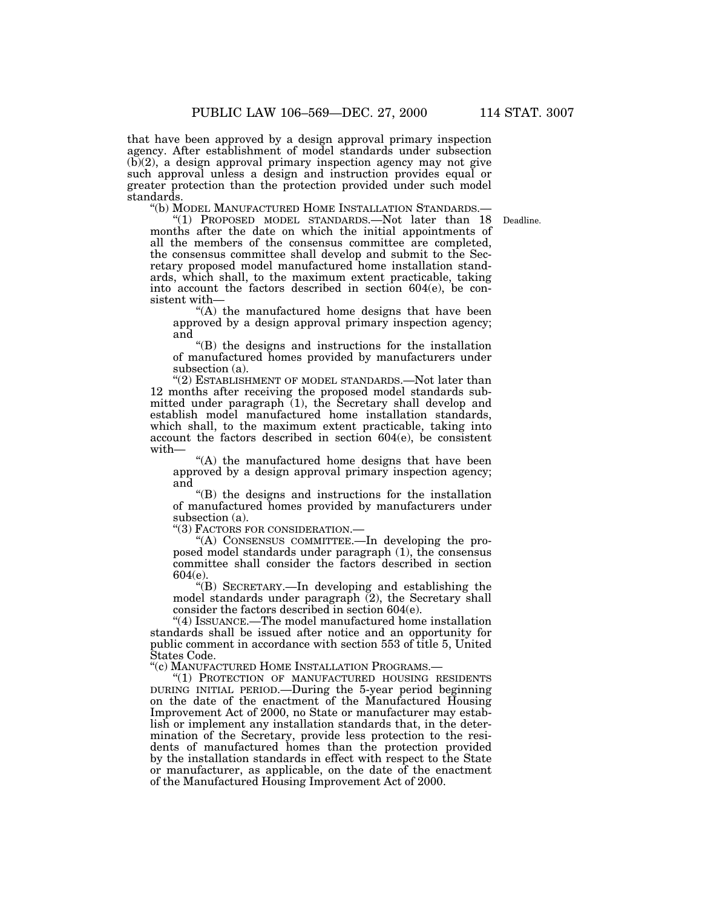that have been approved by a design approval primary inspection agency. After establishment of model standards under subsection  $(b)(2)$ , a design approval primary inspection agency may not give such approval unless a design and instruction provides equal or greater protection than the protection provided under such model standards.<br>"(b) MODEL MANUFACTURED HOME INSTALLATION STANDARDS.—

Deadline.

"(1) PROPOSED MODEL STANDARDS.—Not later than 18 months after the date on which the initial appointments of all the members of the consensus committee are completed, the consensus committee shall develop and submit to the Secretary proposed model manufactured home installation standards, which shall, to the maximum extent practicable, taking into account the factors described in section 604(e), be consistent with—

''(A) the manufactured home designs that have been approved by a design approval primary inspection agency; and

''(B) the designs and instructions for the installation of manufactured homes provided by manufacturers under subsection (a).

"(2) ESTABLISHMENT OF MODEL STANDARDS.—Not later than 12 months after receiving the proposed model standards submitted under paragraph (1), the Secretary shall develop and establish model manufactured home installation standards, which shall, to the maximum extent practicable, taking into account the factors described in section 604(e), be consistent with—

''(A) the manufactured home designs that have been approved by a design approval primary inspection agency; and

''(B) the designs and instructions for the installation of manufactured homes provided by manufacturers under subsection (a).<br>"(3) FACTORS FOR CONSIDERATION.—

"(A) CONSENSUS COMMITTEE.—In developing the proposed model standards under paragraph (1), the consensus committee shall consider the factors described in section 604(e).

''(B) SECRETARY.—In developing and establishing the model standards under paragraph  $(2)$ , the Secretary shall consider the factors described in section 604(e).

''(4) ISSUANCE.—The model manufactured home installation standards shall be issued after notice and an opportunity for public comment in accordance with section 553 of title 5, United States Code.

''(c) MANUFACTURED HOME INSTALLATION PROGRAMS.—

''(1) PROTECTION OF MANUFACTURED HOUSING RESIDENTS DURING INITIAL PERIOD.—During the 5-year period beginning on the date of the enactment of the Manufactured Housing Improvement Act of 2000, no State or manufacturer may establish or implement any installation standards that, in the determination of the Secretary, provide less protection to the residents of manufactured homes than the protection provided by the installation standards in effect with respect to the State or manufacturer, as applicable, on the date of the enactment of the Manufactured Housing Improvement Act of 2000.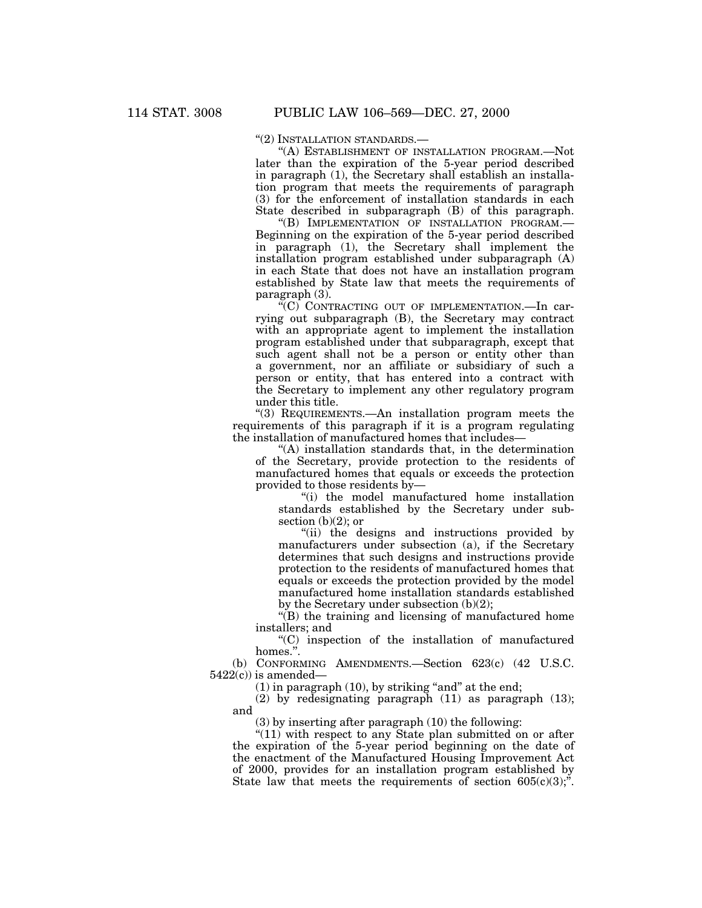''(2) INSTALLATION STANDARDS.—

''(A) ESTABLISHMENT OF INSTALLATION PROGRAM.—Not later than the expiration of the 5-year period described in paragraph (1), the Secretary shall establish an installation program that meets the requirements of paragraph (3) for the enforcement of installation standards in each State described in subparagraph (B) of this paragraph.

''(B) IMPLEMENTATION OF INSTALLATION PROGRAM.— Beginning on the expiration of the 5-year period described in paragraph (1), the Secretary shall implement the installation program established under subparagraph (A) in each State that does not have an installation program established by State law that meets the requirements of paragraph (3).

''(C) CONTRACTING OUT OF IMPLEMENTATION.—In carrying out subparagraph (B), the Secretary may contract with an appropriate agent to implement the installation program established under that subparagraph, except that such agent shall not be a person or entity other than a government, nor an affiliate or subsidiary of such a person or entity, that has entered into a contract with the Secretary to implement any other regulatory program under this title.

''(3) REQUIREMENTS.—An installation program meets the requirements of this paragraph if it is a program regulating the installation of manufactured homes that includes—

''(A) installation standards that, in the determination of the Secretary, provide protection to the residents of manufactured homes that equals or exceeds the protection provided to those residents by—

''(i) the model manufactured home installation standards established by the Secretary under subsection  $(b)(2)$ ; or

''(ii) the designs and instructions provided by manufacturers under subsection (a), if the Secretary determines that such designs and instructions provide protection to the residents of manufactured homes that equals or exceeds the protection provided by the model manufactured home installation standards established by the Secretary under subsection (b)(2);

''(B) the training and licensing of manufactured home installers; and

''(C) inspection of the installation of manufactured homes<sup>"</sup>

(b) CONFORMING AMENDMENTS.—Section 623(c) (42 U.S.C.  $5422(c)$  is amended-

 $(1)$  in paragraph  $(10)$ , by striking "and" at the end;

(2) by redesignating paragraph (11) as paragraph (13); and

(3) by inserting after paragraph (10) the following:

"(11) with respect to any State plan submitted on or after the expiration of the 5-year period beginning on the date of the enactment of the Manufactured Housing Improvement Act of 2000, provides for an installation program established by State law that meets the requirements of section  $605(c)(3)$ ;".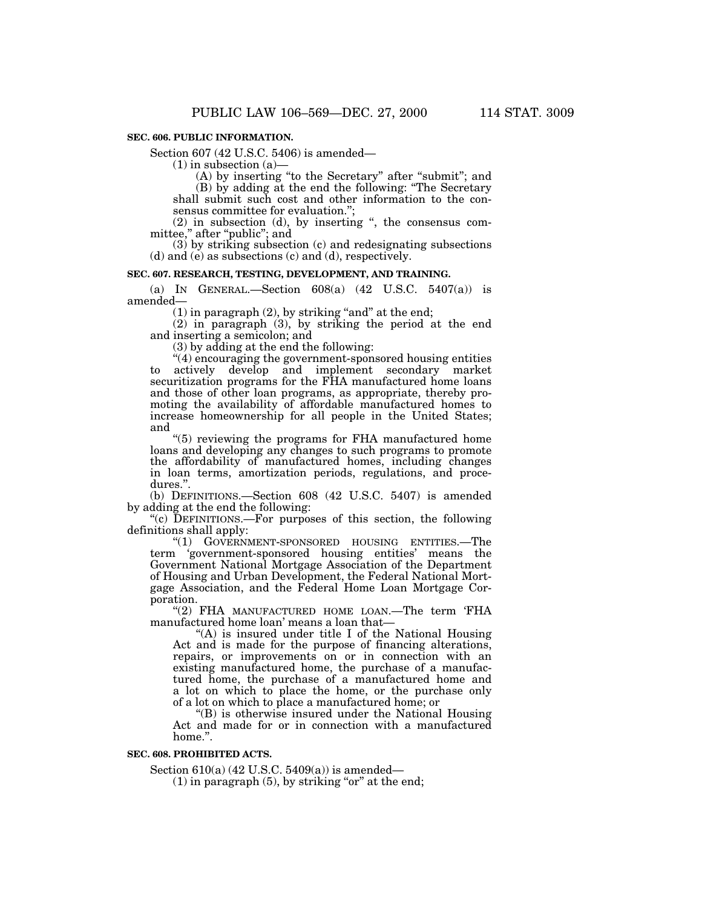# **SEC. 606. PUBLIC INFORMATION.**

Section 607 (42 U.S.C. 5406) is amended—

 $(1)$  in subsection  $(a)$ —

(A) by inserting ''to the Secretary'' after ''submit''; and

(B) by adding at the end the following: ''The Secretary shall submit such cost and other information to the consensus committee for evaluation.'';

(2) in subsection (d), by inserting '', the consensus committee," after "public"; and

(3) by striking subsection (c) and redesignating subsections (d) and (e) as subsections (c) and (d), respectively.

#### **SEC. 607. RESEARCH, TESTING, DEVELOPMENT, AND TRAINING.**

(a) IN GENERAL.—Section 608(a) (42 U.S.C. 5407(a)) is amended—

 $(1)$  in paragraph  $(2)$ , by striking "and" at the end;

(2) in paragraph (3), by striking the period at the end and inserting a semicolon; and

(3) by adding at the end the following:

''(4) encouraging the government-sponsored housing entities to actively develop and implement secondary market securitization programs for the FHA manufactured home loans and those of other loan programs, as appropriate, thereby promoting the availability of affordable manufactured homes to increase homeownership for all people in the United States; and

''(5) reviewing the programs for FHA manufactured home loans and developing any changes to such programs to promote the affordability of manufactured homes, including changes in loan terms, amortization periods, regulations, and procedures.''.

(b) DEFINITIONS.—Section 608 (42 U.S.C. 5407) is amended by adding at the end the following:

"(c) DEFINITIONS.—For purposes of this section, the following definitions shall apply:

''(1) GOVERNMENT-SPONSORED HOUSING ENTITIES.—The term 'government-sponsored housing entities' means the Government National Mortgage Association of the Department of Housing and Urban Development, the Federal National Mortgage Association, and the Federal Home Loan Mortgage Corporation.

''(2) FHA MANUFACTURED HOME LOAN.—The term 'FHA manufactured home loan' means a loan that—

''(A) is insured under title I of the National Housing Act and is made for the purpose of financing alterations, repairs, or improvements on or in connection with an existing manufactured home, the purchase of a manufactured home, the purchase of a manufactured home and a lot on which to place the home, or the purchase only of a lot on which to place a manufactured home; or

''(B) is otherwise insured under the National Housing Act and made for or in connection with a manufactured home.''.

## **SEC. 608. PROHIBITED ACTS.**

Section 610(a) (42 U.S.C. 5409(a)) is amended—

 $(1)$  in paragraph  $(5)$ , by striking "or" at the end;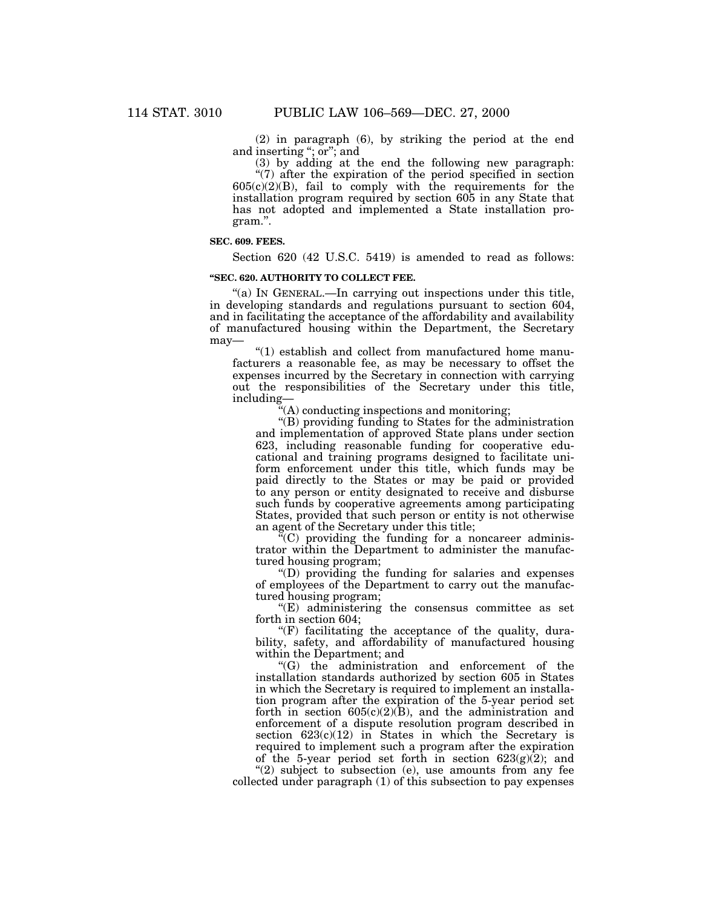(2) in paragraph (6), by striking the period at the end and inserting ''; or''; and

(3) by adding at the end the following new paragraph: "(7) after the expiration of the period specified in section  $605(c)(2)(B)$ , fail to comply with the requirements for the installation program required by section 605 in any State that has not adopted and implemented a State installation program.''.

#### **SEC. 609. FEES.**

Section 620 (42 U.S.C. 5419) is amended to read as follows:

### **''SEC. 620. AUTHORITY TO COLLECT FEE.**

"(a) IN GENERAL.—In carrying out inspections under this title, in developing standards and regulations pursuant to section 604, and in facilitating the acceptance of the affordability and availability of manufactured housing within the Department, the Secretary may—

''(1) establish and collect from manufactured home manufacturers a reasonable fee, as may be necessary to offset the expenses incurred by the Secretary in connection with carrying out the responsibilities of the Secretary under this title, including—

''(A) conducting inspections and monitoring;

''(B) providing funding to States for the administration and implementation of approved State plans under section 623, including reasonable funding for cooperative educational and training programs designed to facilitate uniform enforcement under this title, which funds may be paid directly to the States or may be paid or provided to any person or entity designated to receive and disburse such funds by cooperative agreements among participating States, provided that such person or entity is not otherwise an agent of the Secretary under this title;

 $(C)$  providing the funding for a noncareer administrator within the Department to administer the manufactured housing program;

''(D) providing the funding for salaries and expenses of employees of the Department to carry out the manufactured housing program;

 $E$ ) administering the consensus committee as set forth in section 604;

 $(F)$  facilitating the acceptance of the quality, durability, safety, and affordability of manufactured housing within the Department; and

''(G) the administration and enforcement of the installation standards authorized by section 605 in States in which the Secretary is required to implement an installation program after the expiration of the 5-year period set forth in section  $605(c)(2)(B)$ , and the administration and enforcement of a dispute resolution program described in section  $623(c)(12)$  in States in which the Secretary is required to implement such a program after the expiration of the 5-year period set forth in section  $623(g)(2)$ ; and

"(2) subject to subsection (e), use amounts from any fee collected under paragraph (1) of this subsection to pay expenses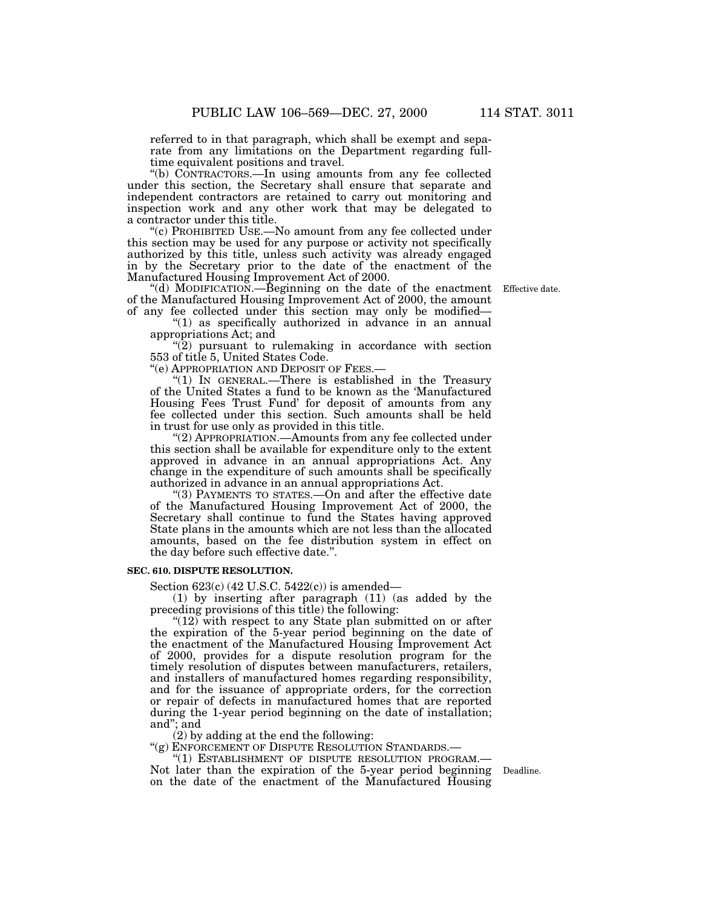referred to in that paragraph, which shall be exempt and separate from any limitations on the Department regarding fulltime equivalent positions and travel.

''(b) CONTRACTORS.—In using amounts from any fee collected under this section, the Secretary shall ensure that separate and independent contractors are retained to carry out monitoring and inspection work and any other work that may be delegated to a contractor under this title.

''(c) PROHIBITED USE.—No amount from any fee collected under this section may be used for any purpose or activity not specifically authorized by this title, unless such activity was already engaged in by the Secretary prior to the date of the enactment of the Manufactured Housing Improvement Act of 2000.

''(d) MODIFICATION.—Beginning on the date of the enactment Effective date. of the Manufactured Housing Improvement Act of 2000, the amount of any fee collected under this section may only be modified—

''(1) as specifically authorized in advance in an annual appropriations Act; and

 $(2)$  pursuant to rulemaking in accordance with section 553 of title 5, United States Code.

''(e) APPROPRIATION AND DEPOSIT OF FEES.—

''(1) IN GENERAL.—There is established in the Treasury of the United States a fund to be known as the 'Manufactured Housing Fees Trust Fund' for deposit of amounts from any fee collected under this section. Such amounts shall be held in trust for use only as provided in this title.

''(2) APPROPRIATION.—Amounts from any fee collected under this section shall be available for expenditure only to the extent approved in advance in an annual appropriations Act. Any change in the expenditure of such amounts shall be specifically authorized in advance in an annual appropriations Act.

''(3) PAYMENTS TO STATES.—On and after the effective date of the Manufactured Housing Improvement Act of 2000, the Secretary shall continue to fund the States having approved State plans in the amounts which are not less than the allocated amounts, based on the fee distribution system in effect on the day before such effective date.''.

#### **SEC. 610. DISPUTE RESOLUTION.**

Section 623(c) (42 U.S.C. 5422(c)) is amended—

(1) by inserting after paragraph (11) (as added by the preceding provisions of this title) the following:

" $(12)$  with respect to any State plan submitted on or after the expiration of the 5-year period beginning on the date of the enactment of the Manufactured Housing Improvement Act of 2000, provides for a dispute resolution program for the timely resolution of disputes between manufacturers, retailers, and installers of manufactured homes regarding responsibility, and for the issuance of appropriate orders, for the correction or repair of defects in manufactured homes that are reported during the 1-year period beginning on the date of installation; and''; and

 $(2)$  by adding at the end the following:

"(g) ENFORCEMENT OF DISPUTE RESOLUTION STANDARDS.—<br>"(1) ESTABLISHMENT OF DISPUTE RESOLUTION PROGRAM.— ''(1) ESTABLISHMENT OF DISPUTE RESOLUTION PROGRAM.— Not later than the expiration of the 5-year period beginning Deadline. on the date of the enactment of the Manufactured Housing